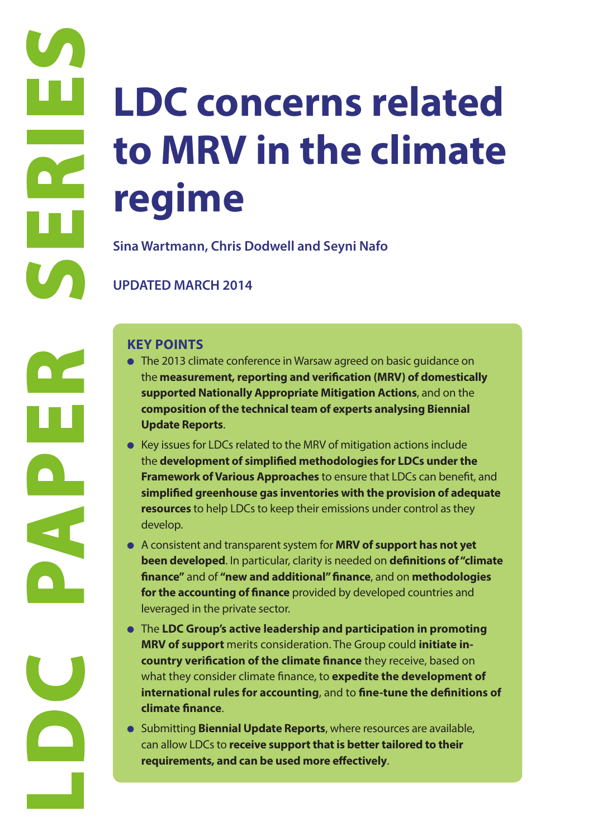# **LDC (**<br> **LDC PAPER SIREND MAR**<br>
Sina Wartmann<br>
UPDATED MAR<br>
KEY POINTS<br>
• The 2013 clir<br>
the measure<br>
supported to the account of the account of the account<br>
simplified y<br>
resputch to the account<br>
develop.<br>
• A consistent **LDC concerns related to MRV in the climate regime**

**Sina Wartmann, Chris Dodwell and Seyni Nafo**

# **UPDATED MARCH 2014**

- The 2013 climate conference in Warsaw agreed on basic guidance on the **measurement, reporting and verification (MRV) of domestically supported Nationally Appropriate Mitigation Actions**, and on the **composition of the technical team of experts analysing Biennial Update Reports**.
- Key issues for LDCs related to the MRV of mitigation actions include the **development of simplified methodologies for LDCs under the Framework of Various Approaches** to ensure that LDCs can benefit, and **simplified greenhouse gas inventories with the provision of adequate resources** to help LDCs to keep their emissions under control as they develop.
- A consistent and transparent system for **MRV of support has not yet been developed**. In particular, clarity is needed on **definitions of "climate finance"** and of **"new and additional" finance**, and on **methodologies for the accounting of finance** provided by developed countries and leveraged in the private sector.
- The **LDC Group's active leadership and participation in promoting MRV of support** merits consideration. The Group could **initiate incountry verification of the climate finance** they receive, based on what they consider climate finance, to **expedite the development of international rules for accounting**, and to **fine-tune the definitions of climate finance**.
- Submitting **Biennial Update Reports**, where resources are available, can allow LDCs to **receive support that is better tailored to their requirements, and can be used more effectively**.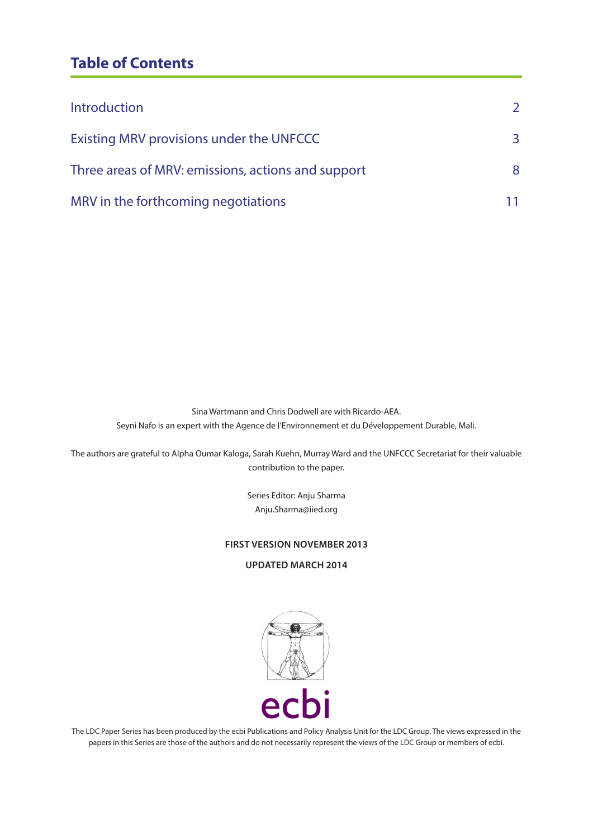# **Table of Contents**

| <b>Introduction</b>                                | $\mathcal{L}$ |
|----------------------------------------------------|---------------|
| Existing MRV provisions under the UNFCCC           | 3             |
| Three areas of MRV: emissions, actions and support | 8             |
| MRV in the forthcoming negotiations                |               |

Sina Wartmann and Chris Dodwell are with Ricardo-AEA. Seyni Nafo is an expert with the Agence de l'Environnement et du Développement Durable, Mali.

The authors are grateful to Alpha Oumar Kaloga, Sarah Kuehn, Murray Ward and the UNFCCC Secretariat for their valuable contribution to the paper.

> Series Editor: Anju Sharma Anju.Sharma@iied.org

#### **FIRST VERSION NOVEMBER 2013**

**UPDATED MARCH 2014**



The LDC Paper Series has been produced by the ecbi Publications and Policy Analysis Unit for the LDC Group. The views expressed in the papers in this Series are those of the authors and do not necessarily represent the views of the LDC Group or members of ecbi.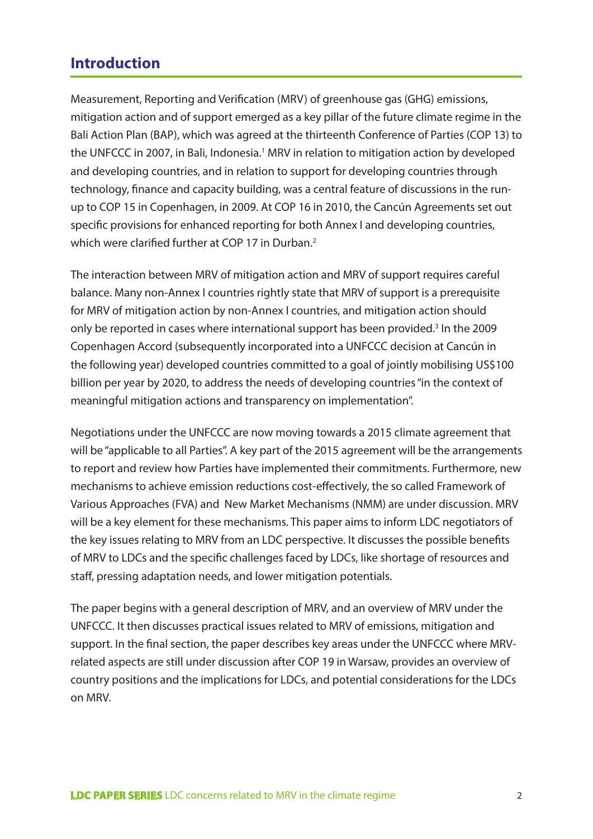# **Introduction**

Measurement, Reporting and Verification (MRV) of greenhouse gas (GHG) emissions, mitigation action and of support emerged as a key pillar of the future climate regime in the Bali Action Plan (BAP), which was agreed at the thirteenth Conference of Parties (COP 13) to the UNFCCC in 2007, in Bali, Indonesia.<sup>1</sup> MRV in relation to mitigation action by developed and developing countries, and in relation to support for developing countries through technology, finance and capacity building, was a central feature of discussions in the runup to COP 15 in Copenhagen, in 2009. At COP 16 in 2010, the Cancún Agreements set out specific provisions for enhanced reporting for both Annex I and developing countries, which were clarified further at COP 17 in Durban.<sup>2</sup>

The interaction between MRV of mitigation action and MRV of support requires careful balance. Many non-Annex I countries rightly state that MRV of support is a prerequisite for MRV of mitigation action by non-Annex I countries, and mitigation action should only be reported in cases where international support has been provided.<sup>3</sup> In the 2009 Copenhagen Accord (subsequently incorporated into a UNFCCC decision at Cancún in the following year) developed countries committed to a goal of jointly mobilising US\$100 billion per year by 2020, to address the needs of developing countries "in the context of meaningful mitigation actions and transparency on implementation".

Negotiations under the UNFCCC are now moving towards a 2015 climate agreement that will be "applicable to all Parties". A key part of the 2015 agreement will be the arrangements to report and review how Parties have implemented their commitments. Furthermore, new mechanisms to achieve emission reductions cost-effectively, the so called Framework of Various Approaches (FVA) and New Market Mechanisms (NMM) are under discussion. MRV will be a key element for these mechanisms. This paper aims to inform LDC negotiators of the key issues relating to MRV from an LDC perspective. It discusses the possible benefits of MRV to LDCs and the specific challenges faced by LDCs, like shortage of resources and staff, pressing adaptation needs, and lower mitigation potentials.

The paper begins with a general description of MRV, and an overview of MRV under the UNFCCC. It then discusses practical issues related to MRV of emissions, mitigation and support. In the final section, the paper describes key areas under the UNFCCC where MRVrelated aspects are still under discussion after COP 19 in Warsaw, provides an overview of country positions and the implications for LDCs, and potential considerations for the LDCs on MRV.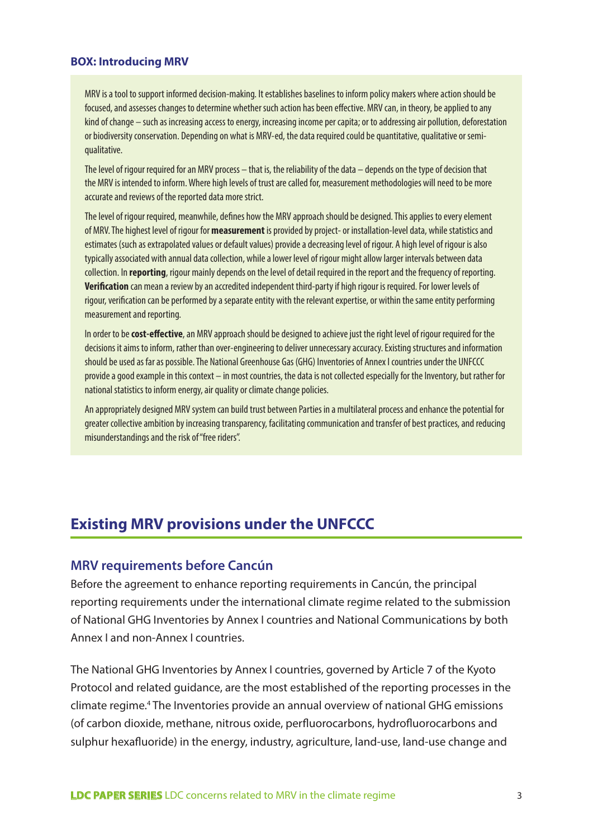#### **BOX: Introducing MRV**

MRV is a tool to support informed decision-making. It establishes baselines to inform policy makers where action should be focused, and assesses changes to determine whether such action has been effective. MRV can, in theory, be applied to any kind of change – such as increasing access to energy, increasing income per capita; or to addressing air pollution, deforestation or biodiversity conservation. Depending on what is MRV-ed, the data required could be quantitative, qualitative or semiqualitative.

The level of rigour required for an MRV process – that is, the reliability of the data – depends on the type of decision that the MRV is intended to inform. Where high levels of trust are called for, measurement methodologies will need to be more accurate and reviews of the reported data more strict.

The level of rigour required, meanwhile, defines how the MRV approach should be designed. This applies to every element of MRV. The highest level of rigour for **measurement** is provided by project- or installation-level data, while statistics and estimates (such as extrapolated values or default values) provide a decreasing level of rigour. A high level of rigour is also typically associated with annual data collection, while a lower level of rigour might allow larger intervals between data collection. In **reporting**, rigour mainly depends on the level of detail required in the report and the frequency of reporting. **Verification** can mean a review by an accredited independent third-party if high rigour is required. For lower levels of rigour, verification can be performed by a separate entity with the relevant expertise, or within the same entity performing measurement and reporting.

In order to be **cost-effective**, an MRV approach should be designed to achieve just the right level of rigour required for the decisions it aims to inform, rather than over-engineering to deliver unnecessary accuracy. Existing structures and information should be used as far as possible. The National Greenhouse Gas (GHG) Inventories of Annex I countries under the UNFCCC provide a good example in this context – in most countries, the data is not collected especially for the Inventory, but rather for national statistics to inform energy, air quality or climate change policies.

An appropriately designed MRV system can build trust between Parties in a multilateral process and enhance the potential for greater collective ambition by increasing transparency, facilitating communication and transfer of best practices, and reducing misunderstandings and the risk of "free riders".

# **Existing MRV provisions under the UNFCCC**

#### **MRV requirements before Cancún**

Before the agreement to enhance reporting requirements in Cancún, the principal reporting requirements under the international climate regime related to the submission of National GHG Inventories by Annex I countries and National Communications by both Annex I and non-Annex I countries.

The National GHG Inventories by Annex I countries, governed by Article 7 of the Kyoto Protocol and related guidance, are the most established of the reporting processes in the climate regime.<sup>4</sup> The Inventories provide an annual overview of national GHG emissions (of carbon dioxide, methane, nitrous oxide, perfluorocarbons, hydrofluorocarbons and sulphur hexafluoride) in the energy, industry, agriculture, land-use, land-use change and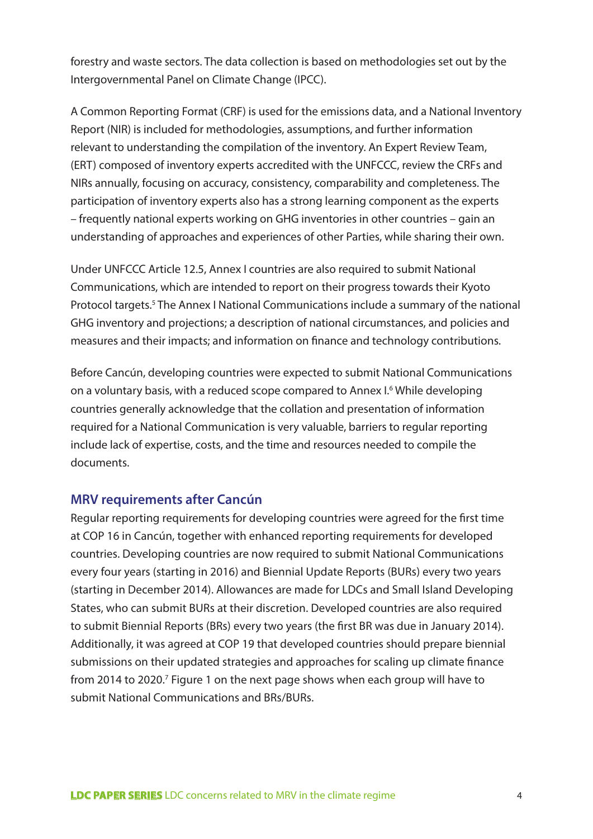forestry and waste sectors. The data collection is based on methodologies set out by the Intergovernmental Panel on Climate Change (IPCC).

A Common Reporting Format (CRF) is used for the emissions data, and a National Inventory Report (NIR) is included for methodologies, assumptions, and further information relevant to understanding the compilation of the inventory. An Expert Review Team, (ERT) composed of inventory experts accredited with the UNFCCC, review the CRFs and NIRs annually, focusing on accuracy, consistency, comparability and completeness. The participation of inventory experts also has a strong learning component as the experts – frequently national experts working on GHG inventories in other countries – gain an understanding of approaches and experiences of other Parties, while sharing their own.

Under UNFCCC Article 12.5, Annex I countries are also required to submit National Communications, which are intended to report on their progress towards their Kyoto Protocol targets.<sup>5</sup> The Annex I National Communications include a summary of the national GHG inventory and projections; a description of national circumstances, and policies and measures and their impacts; and information on finance and technology contributions.

Before Cancún, developing countries were expected to submit National Communications on a voluntary basis, with a reduced scope compared to Annex I.<sup>6</sup> While developing countries generally acknowledge that the collation and presentation of information required for a National Communication is very valuable, barriers to regular reporting include lack of expertise, costs, and the time and resources needed to compile the documents.

### **MRV requirements after Cancún**

Regular reporting requirements for developing countries were agreed for the first time at COP 16 in Cancún, together with enhanced reporting requirements for developed countries. Developing countries are now required to submit National Communications every four years (starting in 2016) and Biennial Update Reports (BURs) every two years (starting in December 2014). Allowances are made for LDCs and Small Island Developing States, who can submit BURs at their discretion. Developed countries are also required to submit Biennial Reports (BRs) every two years (the first BR was due in January 2014). Additionally, it was agreed at COP 19 that developed countries should prepare biennial submissions on their updated strategies and approaches for scaling up climate finance from 2014 to 2020.<sup>7</sup> Figure 1 on the next page shows when each group will have to submit National Communications and BRs/BURs.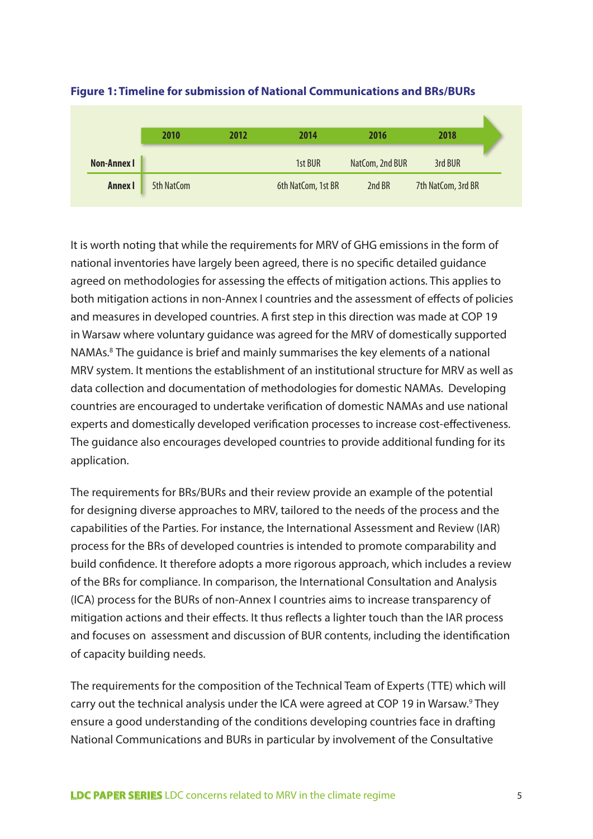|                    | 2010       | 2012 | 2014               | 2016            | 2018               |  |
|--------------------|------------|------|--------------------|-----------------|--------------------|--|
| <b>Non-Annex I</b> |            |      | 1st BUR            | NatCom, 2nd BUR | 3rd BUR            |  |
| <b>Annex I</b>     | 5th NatCom |      | 6th NatCom, 1st BR | 2nd BR          | 7th NatCom, 3rd BR |  |

#### **Figure 1: Timeline for submission of National Communications and BRs/BURs**

It is worth noting that while the requirements for MRV of GHG emissions in the form of national inventories have largely been agreed, there is no specific detailed guidance agreed on methodologies for assessing the effects of mitigation actions. This applies to both mitigation actions in non-Annex I countries and the assessment of effects of policies and measures in developed countries. A first step in this direction was made at COP 19 in Warsaw where voluntary guidance was agreed for the MRV of domestically supported NAMAs.8 The guidance is brief and mainly summarises the key elements of a national MRV system. It mentions the establishment of an institutional structure for MRV as well as data collection and documentation of methodologies for domestic NAMAs. Developing countries are encouraged to undertake verification of domestic NAMAs and use national experts and domestically developed verification processes to increase cost-effectiveness. The guidance also encourages developed countries to provide additional funding for its application.

The requirements for BRs/BURs and their review provide an example of the potential for designing diverse approaches to MRV, tailored to the needs of the process and the capabilities of the Parties. For instance, the International Assessment and Review (IAR) process for the BRs of developed countries is intended to promote comparability and build confidence. It therefore adopts a more rigorous approach, which includes a review of the BRs for compliance. In comparison, the International Consultation and Analysis (ICA) process for the BURs of non-Annex I countries aims to increase transparency of mitigation actions and their effects. It thus reflects a lighter touch than the IAR process and focuses on assessment and discussion of BUR contents, including the identification of capacity building needs.

The requirements for the composition of the Technical Team of Experts (TTE) which will carry out the technical analysis under the ICA were agreed at COP 19 in Warsaw.<sup>9</sup> They ensure a good understanding of the conditions developing countries face in drafting National Communications and BURs in particular by involvement of the Consultative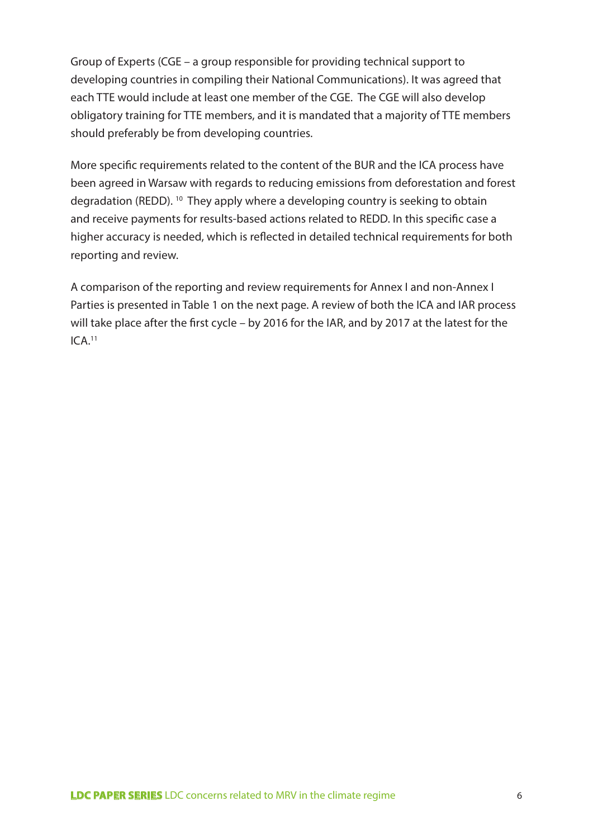Group of Experts (CGE – a group responsible for providing technical support to developing countries in compiling their National Communications). It was agreed that each TTE would include at least one member of the CGE. The CGE will also develop obligatory training for TTE members, and it is mandated that a majority of TTE members should preferably be from developing countries.

More specific requirements related to the content of the BUR and the ICA process have been agreed in Warsaw with regards to reducing emissions from deforestation and forest degradation (REDD). 10 They apply where a developing country is seeking to obtain and receive payments for results-based actions related to REDD. In this specific case a higher accuracy is needed, which is reflected in detailed technical requirements for both reporting and review.

A comparison of the reporting and review requirements for Annex I and non-Annex I Parties is presented in Table 1 on the next page. A review of both the ICA and IAR process will take place after the first cycle – by 2016 for the IAR, and by 2017 at the latest for the ICA.11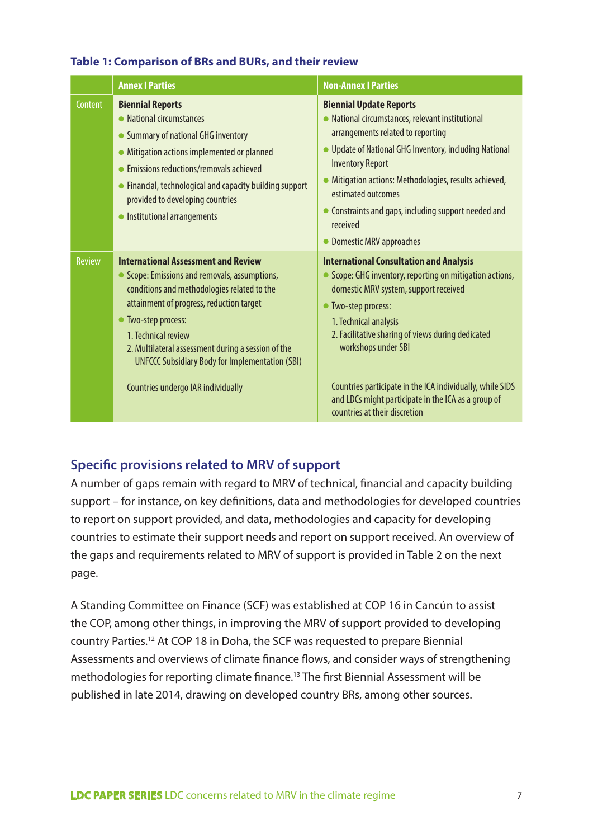#### **Table 1: Comparison of BRs and BURs, and their review**

|               | <b>Annex I Parties</b>                                                                                                                                                                                                                                                                                                                                                                     | <b>Non-Annex   Parties</b>                                                                                                                                                                                                                                                                                                                                                                                                           |
|---------------|--------------------------------------------------------------------------------------------------------------------------------------------------------------------------------------------------------------------------------------------------------------------------------------------------------------------------------------------------------------------------------------------|--------------------------------------------------------------------------------------------------------------------------------------------------------------------------------------------------------------------------------------------------------------------------------------------------------------------------------------------------------------------------------------------------------------------------------------|
| Content       | <b>Biennial Reports</b><br>• National circumstances<br>• Summary of national GHG inventory<br>• Mitigation actions implemented or planned<br>• Emissions reductions/removals achieved<br>• Financial, technological and capacity building support<br>provided to developing countries<br>• Institutional arrangements                                                                      | <b>Biennial Update Reports</b><br>• National circumstances, relevant institutional<br>arrangements related to reporting<br>• Update of National GHG Inventory, including National<br><b>Inventory Report</b><br>• Mitigation actions: Methodologies, results achieved,<br>estimated outcomes<br>Constraints and gaps, including support needed and<br>received<br>• Domestic MRV approaches                                          |
| <b>Review</b> | <b>International Assessment and Review</b><br>• Scope: Emissions and removals, assumptions,<br>conditions and methodologies related to the<br>attainment of progress, reduction target<br>• Two-step process:<br>1. Technical review<br>2. Multilateral assessment during a session of the<br><b>UNFCCC Subsidiary Body for Implementation (SBI)</b><br>Countries undergo IAR individually | <b>International Consultation and Analysis</b><br>• Scope: GHG inventory, reporting on mitigation actions,<br>domestic MRV system, support received<br>• Two-step process:<br>1. Technical analysis<br>2. Facilitative sharing of views during dedicated<br>workshops under SBI<br>Countries participate in the ICA individually, while SIDS<br>and LDCs might participate in the ICA as a group of<br>countries at their discretion |

# **Specific provisions related to MRV of support**

A number of gaps remain with regard to MRV of technical, financial and capacity building support – for instance, on key definitions, data and methodologies for developed countries to report on support provided, and data, methodologies and capacity for developing countries to estimate their support needs and report on support received. An overview of the gaps and requirements related to MRV of support is provided in Table 2 on the next page.

A Standing Committee on Finance (SCF) was established at COP 16 in Cancún to assist the COP, among other things, in improving the MRV of support provided to developing country Parties.12 At COP 18 in Doha, the SCF was requested to prepare Biennial Assessments and overviews of climate finance flows, and consider ways of strengthening methodologies for reporting climate finance.13 The first Biennial Assessment will be published in late 2014, drawing on developed country BRs, among other sources.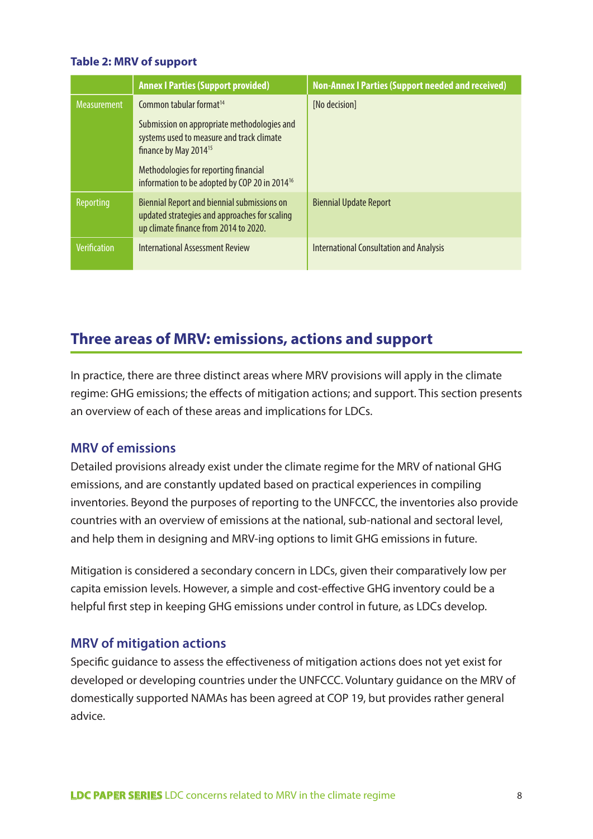#### **Table 2: MRV of support**

|                     | <b>Annex I Parties (Support provided)</b>                                                                                                    | <b>Non-Annex I Parties (Support needed and received)</b> |
|---------------------|----------------------------------------------------------------------------------------------------------------------------------------------|----------------------------------------------------------|
| <b>Measurement</b>  | Common tabular format <sup>14</sup>                                                                                                          | [No decision]                                            |
|                     | Submission on appropriate methodologies and<br>systems used to measure and track climate<br>finance by May 2014 <sup>15</sup>                |                                                          |
|                     | Methodologies for reporting financial<br>information to be adopted by COP 20 in 2014 <sup>16</sup>                                           |                                                          |
| Reporting           | <b>Biennial Report and biennial submissions on</b><br>updated strategies and approaches for scaling<br>up climate finance from 2014 to 2020. | <b>Biennial Update Report</b>                            |
| <b>Verification</b> | <b>International Assessment Review</b>                                                                                                       | <b>International Consultation and Analysis</b>           |

# **Three areas of MRV: emissions, actions and support**

In practice, there are three distinct areas where MRV provisions will apply in the climate regime: GHG emissions; the effects of mitigation actions; and support. This section presents an overview of each of these areas and implications for LDCs.

### **MRV of emissions**

Detailed provisions already exist under the climate regime for the MRV of national GHG emissions, and are constantly updated based on practical experiences in compiling inventories. Beyond the purposes of reporting to the UNFCCC, the inventories also provide countries with an overview of emissions at the national, sub-national and sectoral level, and help them in designing and MRV-ing options to limit GHG emissions in future.

Mitigation is considered a secondary concern in LDCs, given their comparatively low per capita emission levels. However, a simple and cost-effective GHG inventory could be a helpful first step in keeping GHG emissions under control in future, as LDCs develop.

# **MRV of mitigation actions**

Specific guidance to assess the effectiveness of mitigation actions does not yet exist for developed or developing countries under the UNFCCC. Voluntary guidance on the MRV of domestically supported NAMAs has been agreed at COP 19, but provides rather general advice.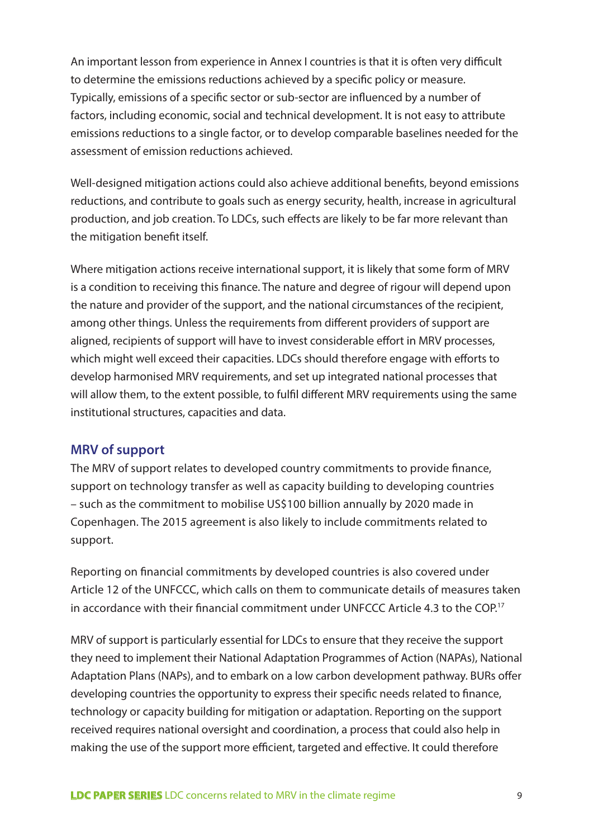An important lesson from experience in Annex I countries is that it is often very difficult to determine the emissions reductions achieved by a specific policy or measure. Typically, emissions of a specific sector or sub-sector are influenced by a number of factors, including economic, social and technical development. It is not easy to attribute emissions reductions to a single factor, or to develop comparable baselines needed for the assessment of emission reductions achieved.

Well-designed mitigation actions could also achieve additional benefits, beyond emissions reductions, and contribute to goals such as energy security, health, increase in agricultural production, and job creation. To LDCs, such effects are likely to be far more relevant than the mitigation benefit itself.

Where mitigation actions receive international support, it is likely that some form of MRV is a condition to receiving this finance. The nature and degree of rigour will depend upon the nature and provider of the support, and the national circumstances of the recipient, among other things. Unless the requirements from different providers of support are aligned, recipients of support will have to invest considerable effort in MRV processes, which might well exceed their capacities. LDCs should therefore engage with efforts to develop harmonised MRV requirements, and set up integrated national processes that will allow them, to the extent possible, to fulfil different MRV requirements using the same institutional structures, capacities and data.

# **MRV of support**

The MRV of support relates to developed country commitments to provide finance, support on technology transfer as well as capacity building to developing countries – such as the commitment to mobilise US\$100 billion annually by 2020 made in Copenhagen. The 2015 agreement is also likely to include commitments related to support.

Reporting on financial commitments by developed countries is also covered under Article 12 of the UNFCCC, which calls on them to communicate details of measures taken in accordance with their financial commitment under UNFCCC Article 4.3 to the COP.17

MRV of support is particularly essential for LDCs to ensure that they receive the support they need to implement their National Adaptation Programmes of Action (NAPAs), National Adaptation Plans (NAPs), and to embark on a low carbon development pathway. BURs offer developing countries the opportunity to express their specific needs related to finance, technology or capacity building for mitigation or adaptation. Reporting on the support received requires national oversight and coordination, a process that could also help in making the use of the support more efficient, targeted and effective. It could therefore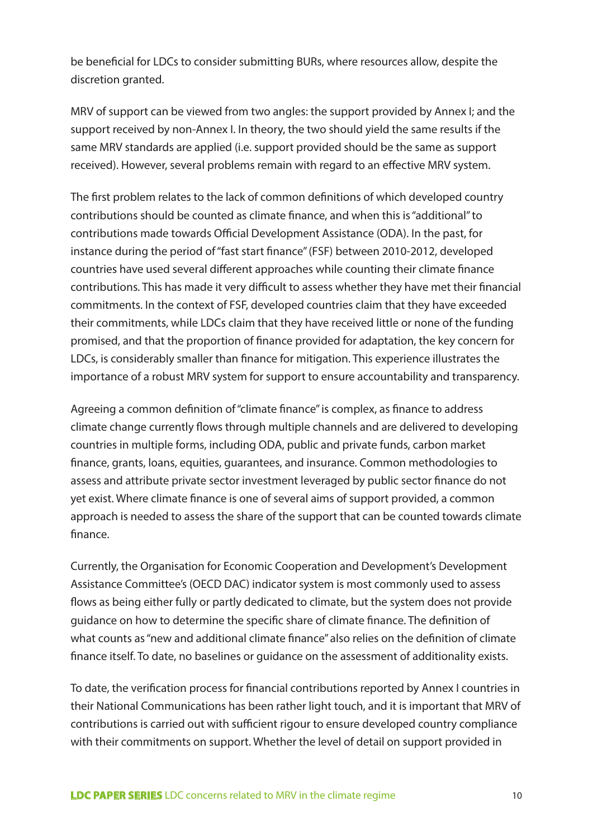be beneficial for LDCs to consider submitting BURs, where resources allow, despite the discretion granted.

MRV of support can be viewed from two angles: the support provided by Annex I; and the support received by non-Annex I. In theory, the two should yield the same results if the same MRV standards are applied (i.e. support provided should be the same as support received). However, several problems remain with regard to an effective MRV system.

The first problem relates to the lack of common definitions of which developed country contributions should be counted as climate finance, and when this is "additional" to contributions made towards Official Development Assistance (ODA). In the past, for instance during the period of "fast start finance" (FSF) between 2010-2012, developed countries have used several different approaches while counting their climate finance contributions. This has made it very difficult to assess whether they have met their financial commitments. In the context of FSF, developed countries claim that they have exceeded their commitments, while LDCs claim that they have received little or none of the funding promised, and that the proportion of finance provided for adaptation, the key concern for LDCs, is considerably smaller than finance for mitigation. This experience illustrates the importance of a robust MRV system for support to ensure accountability and transparency.

Agreeing a common definition of "climate finance" is complex, as finance to address climate change currently flows through multiple channels and are delivered to developing countries in multiple forms, including ODA, public and private funds, carbon market finance, grants, loans, equities, guarantees, and insurance. Common methodologies to assess and attribute private sector investment leveraged by public sector finance do not yet exist. Where climate finance is one of several aims of support provided, a common approach is needed to assess the share of the support that can be counted towards climate finance.

Currently, the Organisation for Economic Cooperation and Development's Development Assistance Committee's (OECD DAC) indicator system is most commonly used to assess flows as being either fully or partly dedicated to climate, but the system does not provide guidance on how to determine the specific share of climate finance. The definition of what counts as "new and additional climate finance" also relies on the definition of climate finance itself. To date, no baselines or guidance on the assessment of additionality exists.

To date, the verification process for financial contributions reported by Annex I countries in their National Communications has been rather light touch, and it is important that MRV of contributions is carried out with sufficient rigour to ensure developed country compliance with their commitments on support. Whether the level of detail on support provided in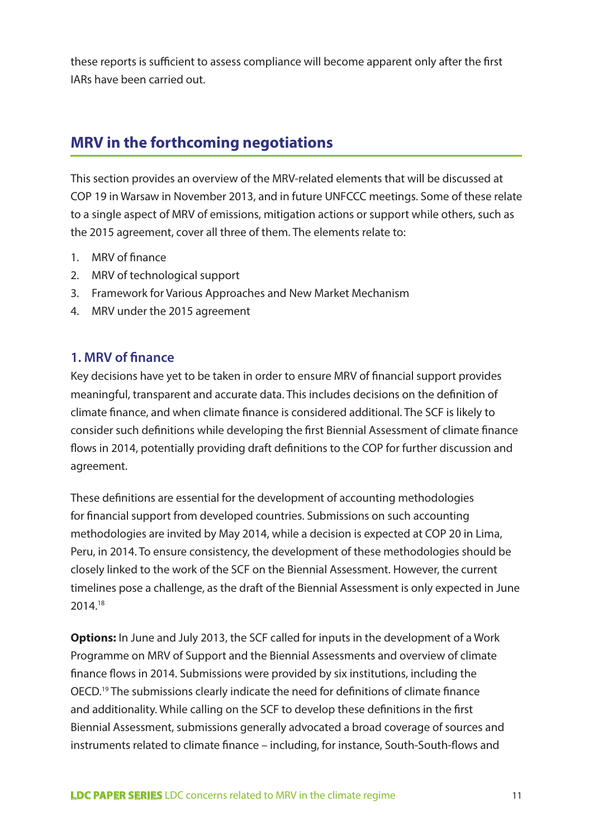these reports is sufficient to assess compliance will become apparent only after the first IARs have been carried out.

# **MRV in the forthcoming negotiations**

This section provides an overview of the MRV-related elements that will be discussed at COP 19 in Warsaw in November 2013, and in future UNFCCC meetings. Some of these relate to a single aspect of MRV of emissions, mitigation actions or support while others, such as the 2015 agreement, cover all three of them. The elements relate to:

- 1. MRV of finance
- 2. MRV of technological support
- 3. Framework for Various Approaches and New Market Mechanism
- 4. MRV under the 2015 agreement

# **1. MRV of finance**

Key decisions have yet to be taken in order to ensure MRV of financial support provides meaningful, transparent and accurate data. This includes decisions on the definition of climate finance, and when climate finance is considered additional. The SCF is likely to consider such definitions while developing the first Biennial Assessment of climate finance flows in 2014, potentially providing draft definitions to the COP for further discussion and agreement.

These definitions are essential for the development of accounting methodologies for financial support from developed countries. Submissions on such accounting methodologies are invited by May 2014, while a decision is expected at COP 20 in Lima, Peru, in 2014. To ensure consistency, the development of these methodologies should be closely linked to the work of the SCF on the Biennial Assessment. However, the current timelines pose a challenge, as the draft of the Biennial Assessment is only expected in June 2014.18

**Options:** In June and July 2013, the SCF called for inputs in the development of a Work Programme on MRV of Support and the Biennial Assessments and overview of climate finance flows in 2014. Submissions were provided by six institutions, including the OECD.19 The submissions clearly indicate the need for definitions of climate finance and additionality. While calling on the SCF to develop these definitions in the first Biennial Assessment, submissions generally advocated a broad coverage of sources and instruments related to climate finance – including, for instance, South-South-flows and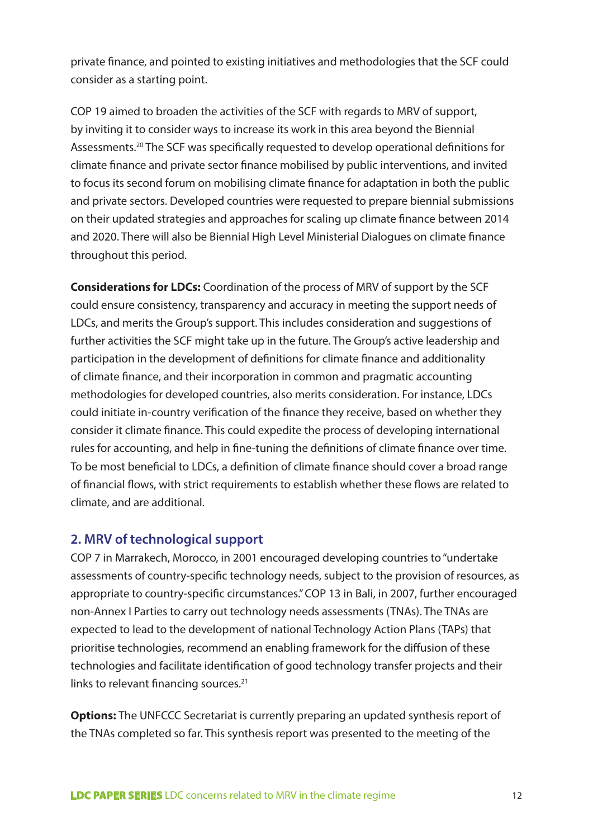private finance, and pointed to existing initiatives and methodologies that the SCF could consider as a starting point.

COP 19 aimed to broaden the activities of the SCF with regards to MRV of support, by inviting it to consider ways to increase its work in this area beyond the Biennial Assessments.20 The SCF was specifically requested to develop operational definitions for climate finance and private sector finance mobilised by public interventions, and invited to focus its second forum on mobilising climate finance for adaptation in both the public and private sectors. Developed countries were requested to prepare biennial submissions on their updated strategies and approaches for scaling up climate finance between 2014 and 2020. There will also be Biennial High Level Ministerial Dialogues on climate finance throughout this period.

**Considerations for LDCs:** Coordination of the process of MRV of support by the SCF could ensure consistency, transparency and accuracy in meeting the support needs of LDCs, and merits the Group's support. This includes consideration and suggestions of further activities the SCF might take up in the future. The Group's active leadership and participation in the development of definitions for climate finance and additionality of climate finance, and their incorporation in common and pragmatic accounting methodologies for developed countries, also merits consideration. For instance, LDCs could initiate in-country verification of the finance they receive, based on whether they consider it climate finance. This could expedite the process of developing international rules for accounting, and help in fine-tuning the definitions of climate finance over time. To be most beneficial to LDCs, a definition of climate finance should cover a broad range of financial flows, with strict requirements to establish whether these flows are related to climate, and are additional.

# **2. MRV of technological support**

COP 7 in Marrakech, Morocco, in 2001 encouraged developing countries to "undertake assessments of country-specific technology needs, subject to the provision of resources, as appropriate to country-specific circumstances." COP 13 in Bali, in 2007, further encouraged non-Annex I Parties to carry out technology needs assessments (TNAs). The TNAs are expected to lead to the development of national Technology Action Plans (TAPs) that prioritise technologies, recommend an enabling framework for the diffusion of these technologies and facilitate identification of good technology transfer projects and their links to relevant financing sources.<sup>21</sup>

**Options:** The UNFCCC Secretariat is currently preparing an updated synthesis report of the TNAs completed so far. This synthesis report was presented to the meeting of the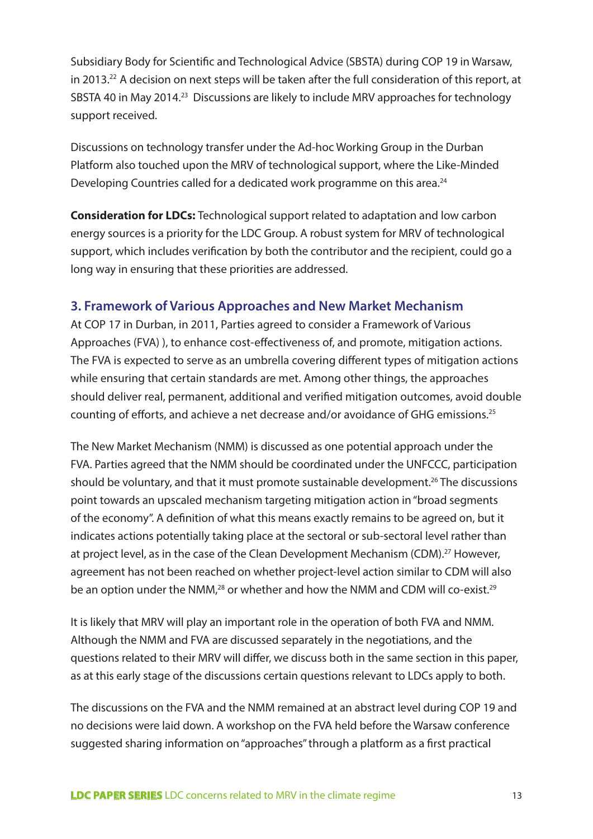Subsidiary Body for Scientific and Technological Advice (SBSTA) during COP 19 in Warsaw, in 2013.<sup>22</sup> A decision on next steps will be taken after the full consideration of this report, at SBSTA 40 in May 2014.23 Discussions are likely to include MRV approaches for technology support received.

Discussions on technology transfer under the Ad-hoc Working Group in the Durban Platform also touched upon the MRV of technological support, where the Like-Minded Developing Countries called for a dedicated work programme on this area.<sup>24</sup>

**Consideration for LDCs:** Technological support related to adaptation and low carbon energy sources is a priority for the LDC Group. A robust system for MRV of technological support, which includes verification by both the contributor and the recipient, could go a long way in ensuring that these priorities are addressed.

# **3. Framework of Various Approaches and New Market Mechanism**

At COP 17 in Durban, in 2011, Parties agreed to consider a Framework of Various Approaches (FVA) ), to enhance cost-effectiveness of, and promote, mitigation actions. The FVA is expected to serve as an umbrella covering different types of mitigation actions while ensuring that certain standards are met. Among other things, the approaches should deliver real, permanent, additional and verified mitigation outcomes, avoid double counting of efforts, and achieve a net decrease and/or avoidance of GHG emissions.25

The New Market Mechanism (NMM) is discussed as one potential approach under the FVA. Parties agreed that the NMM should be coordinated under the UNFCCC, participation should be voluntary, and that it must promote sustainable development.<sup>26</sup> The discussions point towards an upscaled mechanism targeting mitigation action in "broad segments of the economy". A definition of what this means exactly remains to be agreed on, but it indicates actions potentially taking place at the sectoral or sub-sectoral level rather than at project level, as in the case of the Clean Development Mechanism (CDM).<sup>27</sup> However, agreement has not been reached on whether project-level action similar to CDM will also be an option under the NMM,<sup>28</sup> or whether and how the NMM and CDM will co-exist.<sup>29</sup>

It is likely that MRV will play an important role in the operation of both FVA and NMM. Although the NMM and FVA are discussed separately in the negotiations, and the questions related to their MRV will differ, we discuss both in the same section in this paper, as at this early stage of the discussions certain questions relevant to LDCs apply to both.

The discussions on the FVA and the NMM remained at an abstract level during COP 19 and no decisions were laid down. A workshop on the FVA held before the Warsaw conference suggested sharing information on "approaches" through a platform as a first practical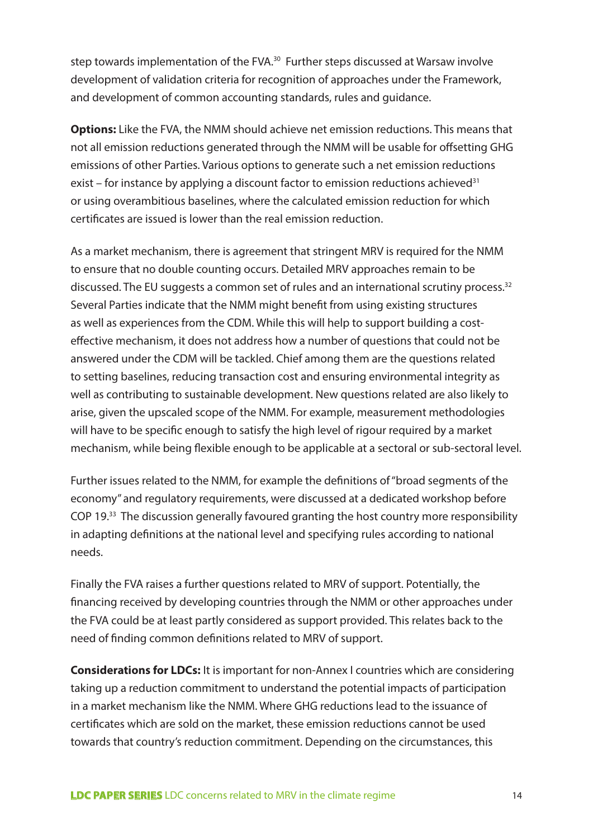step towards implementation of the FVA.<sup>30</sup> Further steps discussed at Warsaw involve development of validation criteria for recognition of approaches under the Framework, and development of common accounting standards, rules and guidance.

**Options:** Like the FVA, the NMM should achieve net emission reductions. This means that not all emission reductions generated through the NMM will be usable for offsetting GHG emissions of other Parties. Various options to generate such a net emission reductions exist – for instance by applying a discount factor to emission reductions achieved<sup>31</sup> or using overambitious baselines, where the calculated emission reduction for which certificates are issued is lower than the real emission reduction.

As a market mechanism, there is agreement that stringent MRV is required for the NMM to ensure that no double counting occurs. Detailed MRV approaches remain to be discussed. The EU suggests a common set of rules and an international scrutiny process.<sup>32</sup> Several Parties indicate that the NMM might benefit from using existing structures as well as experiences from the CDM. While this will help to support building a costeffective mechanism, it does not address how a number of questions that could not be answered under the CDM will be tackled. Chief among them are the questions related to setting baselines, reducing transaction cost and ensuring environmental integrity as well as contributing to sustainable development. New questions related are also likely to arise, given the upscaled scope of the NMM. For example, measurement methodologies will have to be specific enough to satisfy the high level of rigour required by a market mechanism, while being flexible enough to be applicable at a sectoral or sub-sectoral level.

Further issues related to the NMM, for example the definitions of "broad segments of the economy" and regulatory requirements, were discussed at a dedicated workshop before COP 19.33 The discussion generally favoured granting the host country more responsibility in adapting definitions at the national level and specifying rules according to national needs.

Finally the FVA raises a further questions related to MRV of support. Potentially, the financing received by developing countries through the NMM or other approaches under the FVA could be at least partly considered as support provided. This relates back to the need of finding common definitions related to MRV of support.

**Considerations for LDCs:** It is important for non-Annex I countries which are considering taking up a reduction commitment to understand the potential impacts of participation in a market mechanism like the NMM. Where GHG reductions lead to the issuance of certificates which are sold on the market, these emission reductions cannot be used towards that country's reduction commitment. Depending on the circumstances, this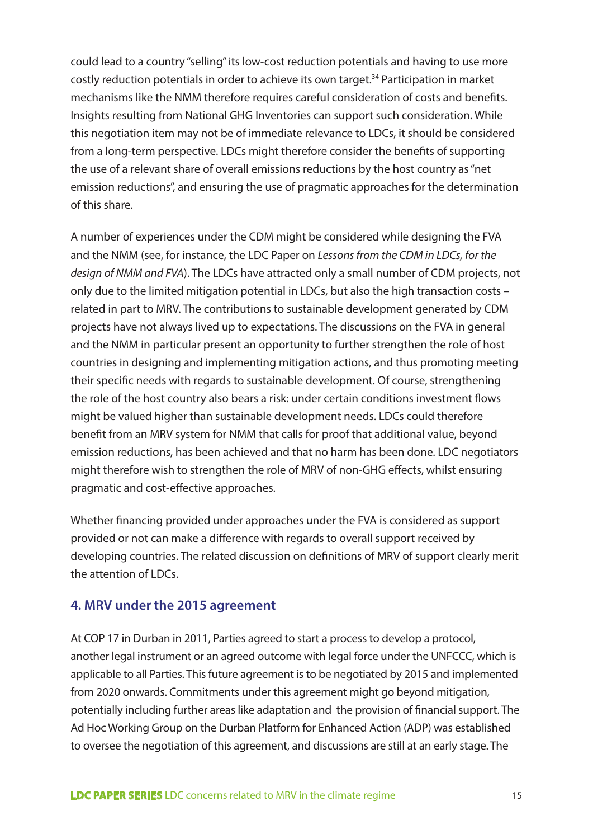could lead to a country "selling" its low-cost reduction potentials and having to use more costly reduction potentials in order to achieve its own target.<sup>34</sup> Participation in market mechanisms like the NMM therefore requires careful consideration of costs and benefits. Insights resulting from National GHG Inventories can support such consideration. While this negotiation item may not be of immediate relevance to LDCs, it should be considered from a long-term perspective. LDCs might therefore consider the benefits of supporting the use of a relevant share of overall emissions reductions by the host country as "net emission reductions", and ensuring the use of pragmatic approaches for the determination of this share.

A number of experiences under the CDM might be considered while designing the FVA and the NMM (see, for instance, the LDC Paper on *Lessons from the CDM in LDCs, for the design of NMM and FVA*). The LDCs have attracted only a small number of CDM projects, not only due to the limited mitigation potential in LDCs, but also the high transaction costs – related in part to MRV. The contributions to sustainable development generated by CDM projects have not always lived up to expectations. The discussions on the FVA in general and the NMM in particular present an opportunity to further strengthen the role of host countries in designing and implementing mitigation actions, and thus promoting meeting their specific needs with regards to sustainable development. Of course, strengthening the role of the host country also bears a risk: under certain conditions investment flows might be valued higher than sustainable development needs. LDCs could therefore benefit from an MRV system for NMM that calls for proof that additional value, beyond emission reductions, has been achieved and that no harm has been done. LDC negotiators might therefore wish to strengthen the role of MRV of non-GHG effects, whilst ensuring pragmatic and cost-effective approaches.

Whether financing provided under approaches under the FVA is considered as support provided or not can make a difference with regards to overall support received by developing countries. The related discussion on definitions of MRV of support clearly merit the attention of LDCs.

### **4. MRV under the 2015 agreement**

At COP 17 in Durban in 2011, Parties agreed to start a process to develop a protocol, another legal instrument or an agreed outcome with legal force under the UNFCCC, which is applicable to all Parties. This future agreement is to be negotiated by 2015 and implemented from 2020 onwards. Commitments under this agreement might go beyond mitigation, potentially including further areas like adaptation and the provision of financial support. The Ad Hoc Working Group on the Durban Platform for Enhanced Action (ADP) was established to oversee the negotiation of this agreement, and discussions are still at an early stage. The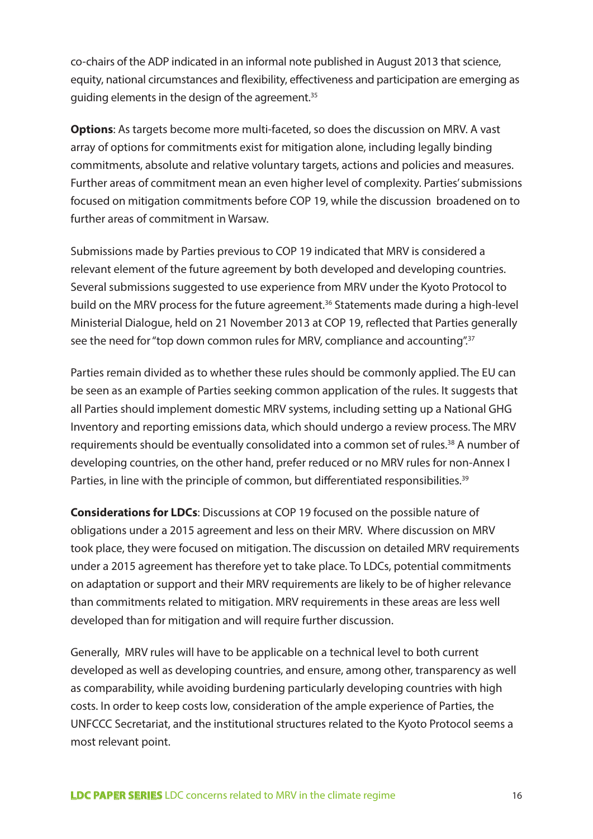co-chairs of the ADP indicated in an informal note published in August 2013 that science, equity, national circumstances and flexibility, effectiveness and participation are emerging as guiding elements in the design of the agreement.<sup>35</sup>

**Options**: As targets become more multi-faceted, so does the discussion on MRV. A vast array of options for commitments exist for mitigation alone, including legally binding commitments, absolute and relative voluntary targets, actions and policies and measures. Further areas of commitment mean an even higher level of complexity. Parties' submissions focused on mitigation commitments before COP 19, while the discussion broadened on to further areas of commitment in Warsaw.

Submissions made by Parties previous to COP 19 indicated that MRV is considered a relevant element of the future agreement by both developed and developing countries. Several submissions suggested to use experience from MRV under the Kyoto Protocol to build on the MRV process for the future agreement.<sup>36</sup> Statements made during a high-level Ministerial Dialogue, held on 21 November 2013 at COP 19, reflected that Parties generally see the need for "top down common rules for MRV, compliance and accounting".<sup>37</sup>

Parties remain divided as to whether these rules should be commonly applied. The EU can be seen as an example of Parties seeking common application of the rules. It suggests that all Parties should implement domestic MRV systems, including setting up a National GHG Inventory and reporting emissions data, which should undergo a review process. The MRV requirements should be eventually consolidated into a common set of rules.<sup>38</sup> A number of developing countries, on the other hand, prefer reduced or no MRV rules for non-Annex I Parties, in line with the principle of common, but differentiated responsibilities.<sup>39</sup>

**Considerations for LDCs**: Discussions at COP 19 focused on the possible nature of obligations under a 2015 agreement and less on their MRV. Where discussion on MRV took place, they were focused on mitigation. The discussion on detailed MRV requirements under a 2015 agreement has therefore yet to take place. To LDCs, potential commitments on adaptation or support and their MRV requirements are likely to be of higher relevance than commitments related to mitigation. MRV requirements in these areas are less well developed than for mitigation and will require further discussion.

Generally, MRV rules will have to be applicable on a technical level to both current developed as well as developing countries, and ensure, among other, transparency as well as comparability, while avoiding burdening particularly developing countries with high costs. In order to keep costs low, consideration of the ample experience of Parties, the UNFCCC Secretariat, and the institutional structures related to the Kyoto Protocol seems a most relevant point.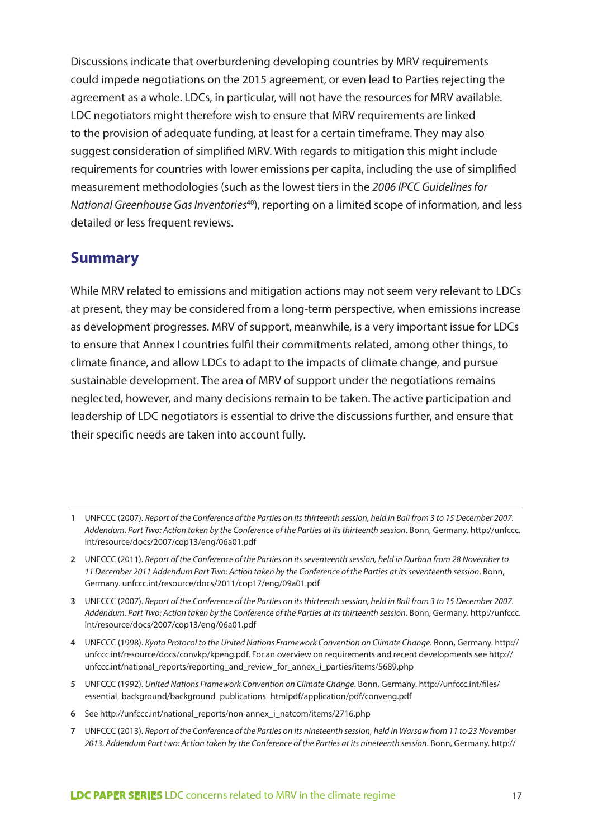Discussions indicate that overburdening developing countries by MRV requirements could impede negotiations on the 2015 agreement, or even lead to Parties rejecting the agreement as a whole. LDCs, in particular, will not have the resources for MRV available. LDC negotiators might therefore wish to ensure that MRV requirements are linked to the provision of adequate funding, at least for a certain timeframe. They may also suggest consideration of simplified MRV. With regards to mitigation this might include requirements for countries with lower emissions per capita, including the use of simplified measurement methodologies (such as the lowest tiers in the *2006 IPCC Guidelines for National Greenhouse Gas Inventories*40), reporting on a limited scope of information, and less detailed or less frequent reviews.

# **Summary**

While MRV related to emissions and mitigation actions may not seem very relevant to LDCs at present, they may be considered from a long-term perspective, when emissions increase as development progresses. MRV of support, meanwhile, is a very important issue for LDCs to ensure that Annex I countries fulfil their commitments related, among other things, to climate finance, and allow LDCs to adapt to the impacts of climate change, and pursue sustainable development. The area of MRV of support under the negotiations remains neglected, however, and many decisions remain to be taken. The active participation and leadership of LDC negotiators is essential to drive the discussions further, and ensure that their specific needs are taken into account fully.

- **2** UNFCCC (2011). *Report of the Conference of the Parties on its seventeenth session, held in Durban from 28 November to 11 December 2011 Addendum Part Two: Action taken by the Conference of the Parties at its seventeenth session*. Bonn, Germany. unfccc.int/resource/docs/2011/cop17/eng/09a01.pdf
- **3** UNFCCC (2007). *Report of the Conference of the Parties on its thirteenth session, held in Bali from 3 to 15 December 2007. Addendum. Part Two: Action taken by the Conference of the Parties at its thirteenth session*. Bonn, Germany. http://unfccc. int/resource/docs/2007/cop13/eng/06a01.pdf
- **4** UNFCCC (1998). *Kyoto Protocol to the United Nations Framework Convention on Climate Change*. Bonn, Germany. http:// unfccc.int/resource/docs/convkp/kpeng.pdf. For an overview on requirements and recent developments see http:// unfccc.int/national\_reports/reporting\_and\_review\_for\_annex\_i\_parties/items/5689.php
- **5** UNFCCC (1992). *United Nations Framework Convention on Climate Change*. Bonn, Germany. http://unfccc.int/files/ essential\_background/background\_publications\_htmlpdf/application/pdf/conveng.pdf
- **6** See http://unfccc.int/national\_reports/non-annex\_i\_natcom/items/2716.php
- **7** UNFCCC (2013). *Report of the Conference of the Parties on its nineteenth session, held in Warsaw from 11 to 23 November 2013. Addendum Part two: Action taken by the Conference of the Parties at its nineteenth session*. Bonn, Germany. http://

**<sup>1</sup>** UNFCCC (2007). *Report of the Conference of the Parties on its thirteenth session, held in Bali from 3 to 15 December 2007. Addendum. Part Two: Action taken by the Conference of the Parties at its thirteenth session*. Bonn, Germany. http://unfccc. int/resource/docs/2007/cop13/eng/06a01.pdf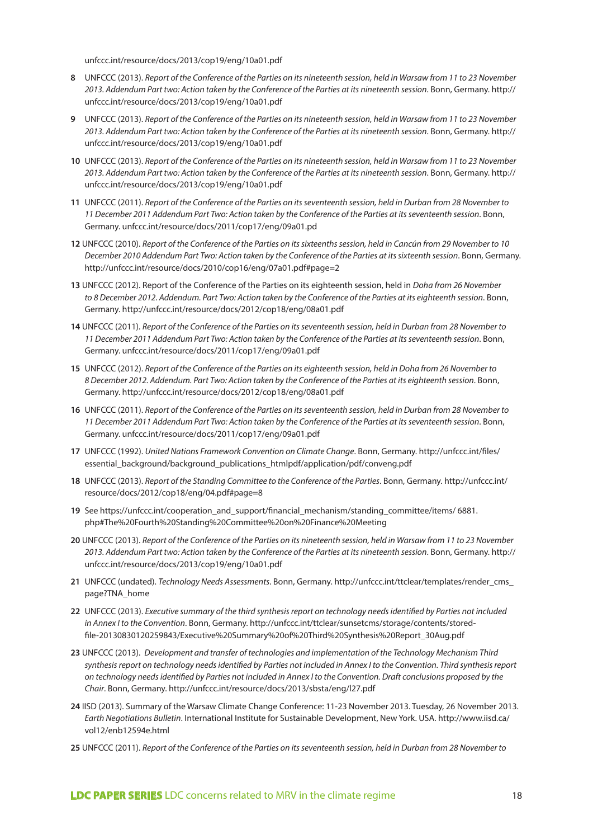unfccc.int/resource/docs/2013/cop19/eng/10a01.pdf

- **8** UNFCCC (2013). *Report of the Conference of the Parties on its nineteenth session, held in Warsaw from 11 to 23 November 2013. Addendum Part two: Action taken by the Conference of the Parties at its nineteenth session*. Bonn, Germany. http:// unfccc.int/resource/docs/2013/cop19/eng/10a01.pdf
- **9** UNFCCC (2013). *Report of the Conference of the Parties on its nineteenth session, held in Warsaw from 11 to 23 November 2013. Addendum Part two: Action taken by the Conference of the Parties at its nineteenth session*. Bonn, Germany. http:// unfccc.int/resource/docs/2013/cop19/eng/10a01.pdf
- **10** UNFCCC (2013). *Report of the Conference of the Parties on its nineteenth session, held in Warsaw from 11 to 23 November 2013. Addendum Part two: Action taken by the Conference of the Parties at its nineteenth session*. Bonn, Germany. http:// unfccc.int/resource/docs/2013/cop19/eng/10a01.pdf
- **11** UNFCCC (2011). *Report of the Conference of the Parties on its seventeenth session, held in Durban from 28 November to 11 December 2011 Addendum Part Two: Action taken by the Conference of the Parties at its seventeenth session*. Bonn, Germany. unfccc.int/resource/docs/2011/cop17/eng/09a01.pd
- **12** UNFCCC (2010). *Report of the Conference of the Parties on its sixteenths session, held in Cancún from 29 November to 10 December 2010 Addendum Part Two: Action taken by the Conference of the Parties at its sixteenth session*. Bonn, Germany. http://unfccc.int/resource/docs/2010/cop16/eng/07a01.pdf#page=2
- **13** UNFCCC (2012). Report of the Conference of the Parties on its eighteenth session, held in *Doha from 26 November to 8 December 2012. Addendum. Part Two: Action taken by the Conference of the Parties at its eighteenth session*. Bonn, Germany. http://unfccc.int/resource/docs/2012/cop18/eng/08a01.pdf
- **14** UNFCCC (2011). *Report of the Conference of the Parties on its seventeenth session, held in Durban from 28 November to 11 December 2011 Addendum Part Two: Action taken by the Conference of the Parties at its seventeenth session*. Bonn, Germany. unfccc.int/resource/docs/2011/cop17/eng/09a01.pdf
- **15** UNFCCC (2012). *Report of the Conference of the Parties on its eighteenth session, held in Doha from 26 November to 8 December 2012. Addendum. Part Two: Action taken by the Conference of the Parties at its eighteenth session*. Bonn, Germany. http://unfccc.int/resource/docs/2012/cop18/eng/08a01.pdf
- **16** UNFCCC (2011). *Report of the Conference of the Parties on its seventeenth session, held in Durban from 28 November to 11 December 2011 Addendum Part Two: Action taken by the Conference of the Parties at its seventeenth session*. Bonn, Germany. unfccc.int/resource/docs/2011/cop17/eng/09a01.pdf
- **17** UNFCCC (1992). *United Nations Framework Convention on Climate Change*. Bonn, Germany. http://unfccc.int/files/ essential\_background/background\_publications\_htmlpdf/application/pdf/conveng.pdf
- **18** UNFCCC (2013). *Report of the Standing Committee to the Conference of the Parties*. Bonn, Germany. http://unfccc.int/ resource/docs/2012/cop18/eng/04.pdf#page=8
- **19** See https://unfccc.int/cooperation\_and\_support/financial\_mechanism/standing\_committee/items/ 6881. php#The%20Fourth%20Standing%20Committee%20on%20Finance%20Meeting
- **20** UNFCCC (2013). *Report of the Conference of the Parties on its nineteenth session, held in Warsaw from 11 to 23 November 2013. Addendum Part two: Action taken by the Conference of the Parties at its nineteenth session*. Bonn, Germany. http:// unfccc.int/resource/docs/2013/cop19/eng/10a01.pdf
- **21** UNFCCC (undated). *Technology Needs Assessments*. Bonn, Germany. http://unfccc.int/ttclear/templates/render\_cms\_ page?TNA\_home
- **22** UNFCCC (2013). *Executive summary of the third synthesis report on technology needs identified by Parties not included in Annex I to the Convention*. Bonn, Germany. http://unfccc.int/ttclear/sunsetcms/storage/contents/storedfile-20130830120259843/Executive%20Summary%20of%20Third%20Synthesis%20Report\_30Aug.pdf
- **23** UNFCCC (2013). *Development and transfer of technologies and implementation of the Technology Mechanism Third synthesis report on technology needs identified by Parties not included in Annex I to the Convention. Third synthesis report on technology needs identified by Parties not included in Annex I to the Convention. Draft conclusions proposed by the Chair*. Bonn, Germany. http://unfccc.int/resource/docs/2013/sbsta/eng/l27.pdf
- **24** IISD (2013). Summary of the Warsaw Climate Change Conference: 11-23 November 2013. Tuesday, 26 November 2013. *Earth Negotiations Bulletin*. International Institute for Sustainable Development, New York. USA. http://www.iisd.ca/ vol12/enb12594e.html
- **25** UNFCCC (2011). *Report of the Conference of the Parties on its seventeenth session, held in Durban from 28 November to*